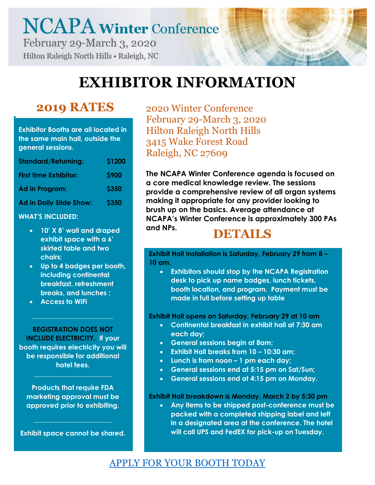# **NCAPA Winter Conference** February 29-March 3, 2020

Hilton Raleigh North Hills . Raleigh, NC

### **EXHIBITOR INFORMATION**

### **2019 RATES**

**Exhibitor Booths are all located in the same main hall, outside the general sessions.**

| <b>Standard/Returning:</b>     | <b>\$1200</b> |
|--------------------------------|---------------|
| <b>First time Exhibitor:</b>   | <b>S900</b>   |
| Ad in Program:                 | <b>\$350</b>  |
| <b>Ad in Daily Slide Show:</b> | <b>\$350</b>  |

#### **WHAT'S INCLUDED:**

- **10' X 8' wall and draped exhibit space with a 6' skirted table and two chairs;**
- **Up to 4 badges per booth, including continental breakfast, refreshment breaks, and lunches ;**
- **Access to WiFi**

**REGISTRATION DOES NOT INCLUDE ELECTRICITY. If your booth requires electricity you will be responsible for additional hotel fees.** 

**\_\_\_\_\_\_\_\_\_\_\_\_\_\_\_\_\_\_\_\_\_\_\_\_**

**Products that require FDA marketing approval must be approved prior to exhibiting.**

**\_\_\_\_\_\_\_\_\_\_\_\_\_\_\_\_\_\_\_\_\_\_\_**

**Exhibit space cannot be shared.**

**\_\_\_\_\_\_\_\_\_\_\_\_\_\_\_\_\_\_\_\_\_\_\_**

2020 Winter Conference February 29-March 3, 2020 Hilton Raleigh North Hills 3415 Wake Forest Road Raleigh, NC 27609

**The NCAPA Winter Conference agenda is focused on a core medical knowledge review. The sessions provide a comprehensive review of all organ systems making it appropriate for any provider looking to brush up on the basics. Average attendance at NCAPA's Winter Conference is approximately 300 PAs and NPs. DETAILS**

**Exhibit Hall Installation is Saturday, February 29 from 8 – 10 am.** 

• **Exhibitors should stop by the NCAPA Registration desk to pick up name badges, lunch tickets, booth location, and program. Payment must be made in full before setting up table**

**Exhibit Hall opens on Saturday, February 29 at 10 am**

- **Continental breakfast in exhibit hall at 7:30 am each day;**
- **General sessions begin at 8am;**
- **Exhibit Hall breaks from 10 – 10:30 am;**
- **Lunch is from noon – 1 pm each day;**
- **General sessions end at 5:15 pm on Sat/Sun;**
- **General sessions end at 4:15 pm on Monday.**

**Exhibit Hall breakdown is Monday, March 2 by 5:30 pm**

• **Any items to be shipped post-conference must be packed with a completed shipping label and left in a designated area at the conference. The hotel will call UPS and FedEX for pick-up on Tuesday.**

### [APPLY FOR YOUR BOOTH TODAY](http://ncapa.org/ncapa-winter-conference-exhibitor-application/)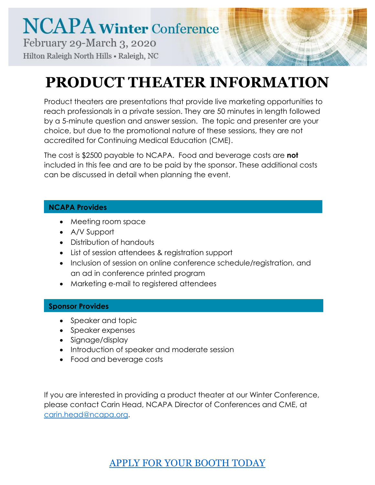## **PRODUCT THEATER INFORMATION**

Product theaters are presentations that provide live marketing opportunities to reach professionals in a private session. They are 50 minutes in length followed by a 5-minute question and answer session. The topic and presenter are your choice, but due to the promotional nature of these sessions, they are not accredited for Continuing Medical Education (CME).

The cost is \$2500 payable to NCAPA. Food and beverage costs are **not** included in this fee and are to be paid by the sponsor. These additional costs can be discussed in detail when planning the event.

#### **NCAPA Provides**

- Meeting room space
- A/V Support
- Distribution of handouts
- List of session attendees & registration support
- Inclusion of session on online conference schedule/registration, and an ad in conference printed program
- Marketing e-mail to registered attendees

#### **Sponsor Provides**

- Speaker and topic
- Speaker expenses
- Signage/display
- Introduction of speaker and moderate session
- Food and beverage costs

If you are interested in providing a product theater at our Winter Conference, please contact Carin Head, NCAPA Director of Conferences and CME, at [carin.head@ncapa.org.](mailto:carin.head@ncapa.org)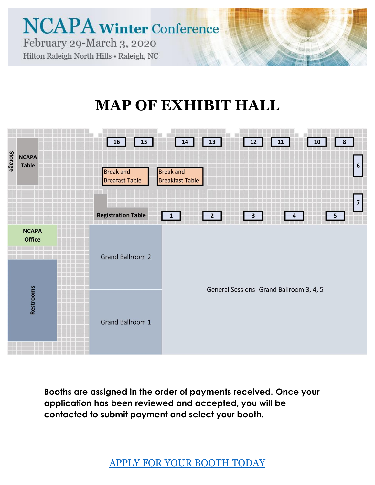

### **MAP OF EXHIBIT HALL**



**Booths are assigned in the order of payments received. Once your application has been reviewed and accepted, you will be contacted to submit payment and select your booth.**